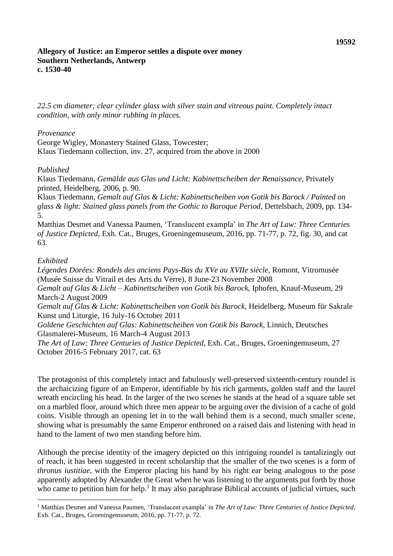*22.5 cm diameter; clear cylinder glass with silver stain and vitreous paint. Completely intact condition, with only minor rubbing in places.*

## *Provenance*

George Wigley, Monastery Stained Glass, Towcester; Klaus Tiedemann collection, inv. 27, acquired from the above in 2000

## *Published*

Klaus Tiedemann, *Gemälde aus Glas und Licht: Kabinettscheiben der Renaissance,* Privately printed, Heidelberg, 2006, p. 90.

Klaus Tiedemann, *Gemalt auf Glas & Licht: Kabinettscheiben von Gotik bis Barock / Painted on glass & light: Stained glass panels from the Gothic to Baroque Period,* Dettelsbach, 2009, pp. 134- 5.

Matthias Desmet and Vanessa Paumen, 'Translucent exampla' in *The Art of Law: Three Centuries of Justice Depicted*, Exh. Cat., Bruges, Groeningemuseum, 2016, pp. 71-77, p. 72, fig. 30, and cat 63.

## *Exhibited*

*Légendes Dorées: Rondels des anciens Pays-Bas du XVe au XVIIe siècle,* Romont, Vitromusée (Musée Suisse du Vitrail et des Arts du Verre), 8 June-23 November 2008 *Gemalt auf Glas & Licht – Kabinettscheiben von Gotik bis Barock*, Iphofen, Knauf-Museum, 29 March-2 August 2009 *Gemalt auf Glas & Licht: Kabinettscheiben von Gotik bis Barock,* Heidelberg, Museum für Sakrale Kunst und Liturgie, 16 July-16 October 2011 *Goldene Geschichten auf Glas: Kabinettscheiben von Gotik bis Barock*, Linnich, Deutsches Glasmalerei-Museum, 16 March-4 August 2013 *The Art of Law: Three Centuries of Justice Depicted*, Exh. Cat., Bruges, Groeningemuseum, 27 October 2016-5 February 2017, cat. 63

The protagonist of this completely intact and fabulously well-preserved sixteenth-century roundel is the archaicizing figure of an Emperor, identifiable by his rich garments, golden staff and the laurel wreath encircling his head. In the larger of the two scenes he stands at the head of a square table set on a marbled floor, around which three men appear to be arguing over the division of a cache of gold coins. Visible through an opening let in to the wall behind them is a second, much smaller scene, showing what is presumably the same Emperor enthroned on a raised dais and listening with head in hand to the lament of two men standing before him.

Although the precise identity of the imagery depicted on this intriguing roundel is tantalizingly out of reach, it has been suggested in recent scholarship that the smaller of the two scenes is a form of *thronus iustitiae*, with the Emperor placing his hand by his right ear being analogous to the pose apparently adopted by Alexander the Great when he was listening to the arguments put forth by those who came to petition him for help.<sup>1</sup> It may also paraphrase Biblical accounts of judicial virtues, such

<sup>1</sup> Matthias Desmet and Vanessa Paumen, 'Translucent exampla' in *The Art of Law: Three Centuries of Justice Depicted*, Exh. Cat., Bruges, Groeningemuseum, 2016, pp. 71-77, p. 72.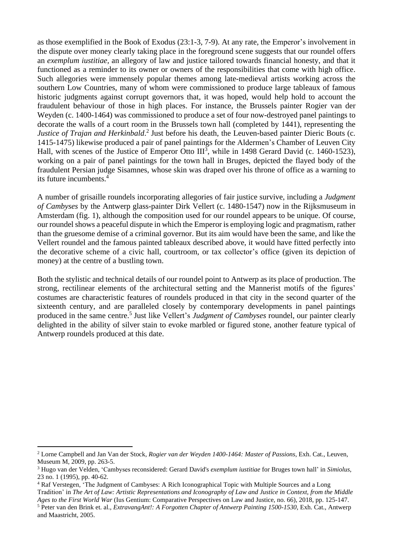as those exemplified in the Book of Exodus (23:1-3, 7-9). At any rate, the Emperor's involvement in the dispute over money clearly taking place in the foreground scene suggests that our roundel offers an *exemplum iustitiae,* an allegory of law and justice tailored towards financial honesty, and that it functioned as a reminder to its owner or owners of the responsibilities that come with high office. Such allegories were immensely popular themes among late-medieval artists working across the southern Low Countries, many of whom were commissioned to produce large tableaux of famous historic judgments against corrupt governors that, it was hoped, would help hold to account the fraudulent behaviour of those in high places. For instance, the Brussels painter Rogier van der Weyden (c. 1400-1464) was commissioned to produce a set of four now-destroyed panel paintings to decorate the walls of a court room in the Brussels town hall (completed by 1441), representing the *Justice of Trajan and Herkinbald*.<sup>2</sup> Just before his death, the Leuven-based painter Dieric Bouts (c. 1415-1475) likewise produced a pair of panel paintings for the Aldermen's Chamber of Leuven City Hall, with scenes of the Justice of Emperor Otto III<sup>3</sup>, while in 1498 Gerard David (c. 1460-1523), working on a pair of panel paintings for the town hall in Bruges, depicted the flayed body of the fraudulent Persian judge Sisamnes, whose skin was draped over his throne of office as a warning to its future incumbents. 4

A number of grisaille roundels incorporating allegories of fair justice survive, including a *Judgment of Cambyses* by the Antwerp glass-painter Dirk Vellert (c. 1480-1547) now in the Rijksmuseum in Amsterdam (fig. 1), although the composition used for our roundel appears to be unique. Of course, our roundel shows a peaceful dispute in which the Emperor is employing logic and pragmatism, rather than the gruesome demise of a criminal governor. But its aim would have been the same, and like the Vellert roundel and the famous painted tableaux described above, it would have fitted perfectly into the decorative scheme of a civic hall, courtroom, or tax collector's office (given its depiction of money) at the centre of a bustling town.

Both the stylistic and technical details of our roundel point to Antwerp as its place of production. The strong, rectilinear elements of the architectural setting and the Mannerist motifs of the figures' costumes are characteristic features of roundels produced in that city in the second quarter of the sixteenth century, and are paralleled closely by contemporary developments in panel paintings produced in the same centre.<sup>5</sup> Just like Vellert's *Judgment of Cambyses* roundel, our painter clearly delighted in the ability of silver stain to evoke marbled or figured stone, another feature typical of Antwerp roundels produced at this date.

<sup>2</sup> Lorne Campbell and Jan Van der Stock, *Rogier van der Weyden 1400-1464: Master of Passions*, Exh. Cat., Leuven, Museum M, 2009, pp. 263-5.

<sup>3</sup> Hugo van der Velden, 'Cambyses reconsidered: Gerard David's *exemplum iustitiae* for Bruges town hall' in *Simiolus*, 23 no. 1 (1995), pp. 40-62.

<sup>4</sup> Raf Verstegen, 'The Judgment of Cambyses: A Rich Iconographical Topic with Multiple Sources and a Long

Tradition' in The Art of Law: Artistic Representations and Iconography of Law and Justice in Context, from the Middle *Ages to the First World War* (Ius Gentium: Comparative Perspectives on Law and Justice, no. 66), 2018, pp. 125-147.

<sup>5</sup> Peter van den Brink et. al., *ExtravangAnt!: A Forgotten Chapter of Antwerp Painting 1500-1530,* Exh. Cat., Antwerp and Maastricht, 2005.